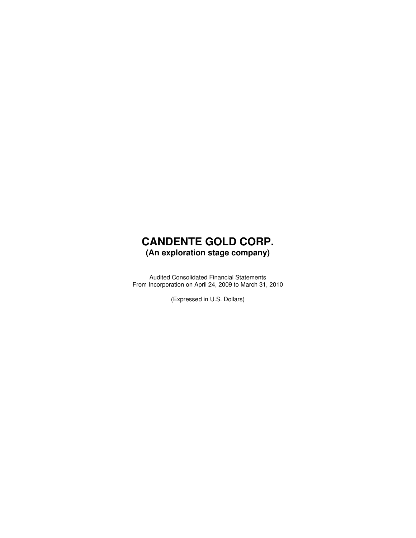### **CANDENTE GOLD CORP. (An exploration stage company)**

Audited Consolidated Financial Statements From Incorporation on April 24, 2009 to March 31, 2010

(Expressed in U.S. Dollars)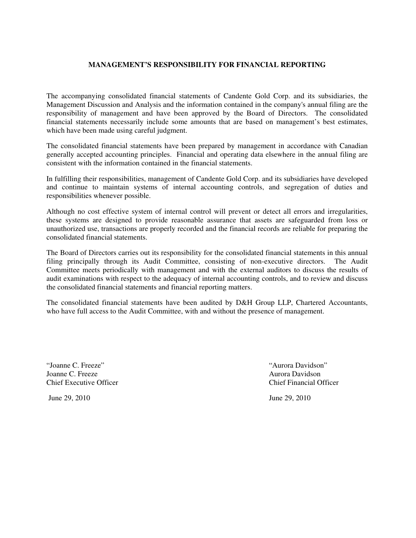### **MANAGEMENT'S RESPONSIBILITY FOR FINANCIAL REPORTING**

The accompanying consolidated financial statements of Candente Gold Corp. and its subsidiaries, the Management Discussion and Analysis and the information contained in the company's annual filing are the responsibility of management and have been approved by the Board of Directors. The consolidated financial statements necessarily include some amounts that are based on management's best estimates, which have been made using careful judgment.

The consolidated financial statements have been prepared by management in accordance with Canadian generally accepted accounting principles. Financial and operating data elsewhere in the annual filing are consistent with the information contained in the financial statements.

In fulfilling their responsibilities, management of Candente Gold Corp. and its subsidiaries have developed and continue to maintain systems of internal accounting controls, and segregation of duties and responsibilities whenever possible.

Although no cost effective system of internal control will prevent or detect all errors and irregularities, these systems are designed to provide reasonable assurance that assets are safeguarded from loss or unauthorized use, transactions are properly recorded and the financial records are reliable for preparing the consolidated financial statements.

The Board of Directors carries out its responsibility for the consolidated financial statements in this annual filing principally through its Audit Committee, consisting of non-executive directors. The Audit Committee meets periodically with management and with the external auditors to discuss the results of audit examinations with respect to the adequacy of internal accounting controls, and to review and discuss the consolidated financial statements and financial reporting matters.

The consolidated financial statements have been audited by D&H Group LLP, Chartered Accountants, who have full access to the Audit Committee, with and without the presence of management.

"Joanne C. Freeze" "Aurora Davidson" Joanne C. Freeze Aurora Davidson Chief Executive Officer Chief Financial Officer

June 29, 2010 June 29, 2010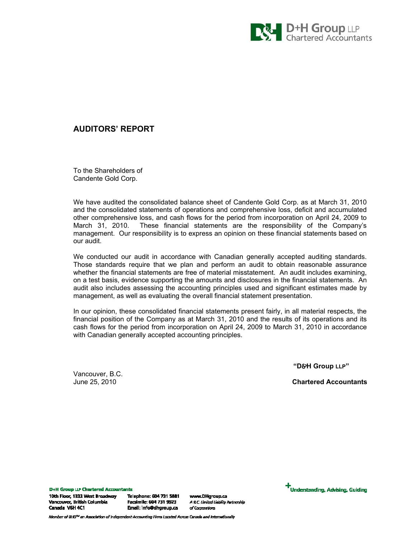

### AUDITORS' REPORT

To the Shareholders of Candente Gold Corp.

We have audited the consolidated balance sheet of Candente Gold Corp. as at March 31, 2010 and the consolidated statements of operations and comprehensive loss, deficit and accumulated other comprehensive loss, and cash flows for the period from incorporation on April 24, 2009 to March 31, 2010. These financial statements are the responsibility of the Company's management. Our responsibility is to express an opinion on these financial statements based on our audit.

We conducted our audit in accordance with Canadian generally accepted auditing standards. Those standards require that we plan and perform an audit to obtain reasonable assurance whether the financial statements are free of material misstatement. An audit includes examining, on a test basis, evidence supporting the amounts and disclosures in the financial statements. An audit also includes assessing the accounting principles used and significant estimates made by management, as well as evaluating the overall financial statement presentation.

In our opinion, these consolidated financial statements present fairly, in all material respects, the financial position of the Company as at March 31, 2010 and the results of its operations and its cash flows for the period from incorporation on April 24, 2009 to March 31, 2010 in accordance with Canadian generally accepted accounting principles.

"D&H Group LLP"

June 25, 2010 Chartered Accountants

Vancouver, B.C.

**D+H Group LLP Chartered Accountants** 10th Floor, 1333 West Broadway Vancouver, British Columbia Canada V6H 4C1

Telephone: 604 731 5881 Facsimile: 604 731 9923 Email: info@dhgroup.ca

www.DHgroup.ca A B.C. Limited Liability Partnership of Corporations



Member of BHD<sup>rw</sup> an Association of Independent Accounting Firms Located Across Canada and Internationally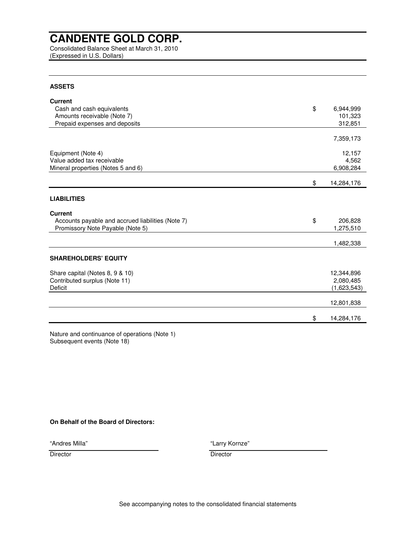Consolidated Balance Sheet at March 31, 2010 (Expressed in U.S. Dollars)

### **ASSETS**

| <b>Current</b>                                    |                  |
|---------------------------------------------------|------------------|
| Cash and cash equivalents                         | \$<br>6,944,999  |
| Amounts receivable (Note 7)                       | 101,323          |
| Prepaid expenses and deposits                     | 312,851          |
|                                                   |                  |
|                                                   | 7,359,173        |
| Equipment (Note 4)                                | 12,157           |
| Value added tax receivable                        | 4,562            |
| Mineral properties (Notes 5 and 6)                | 6,908,284        |
|                                                   | \$<br>14,284,176 |
|                                                   |                  |
| <b>LIABILITIES</b>                                |                  |
| <b>Current</b>                                    |                  |
| Accounts payable and accrued liabilities (Note 7) | \$<br>206,828    |
| Promissory Note Payable (Note 5)                  | 1,275,510        |
|                                                   |                  |
|                                                   | 1,482,338        |
| <b>SHAREHOLDERS' EQUITY</b>                       |                  |
| Share capital (Notes 8, 9 & 10)                   | 12,344,896       |
| Contributed surplus (Note 11)                     | 2,080,485        |
| Deficit                                           | (1,623,543)      |
|                                                   | 12,801,838       |
|                                                   |                  |
|                                                   | \$<br>14,284,176 |

Nature and continuance of operations (Note 1) Subsequent events (Note 18)

### **On Behalf of the Board of Directors:**

"Andres Milla"

"Larry Kornze"

Director Director Director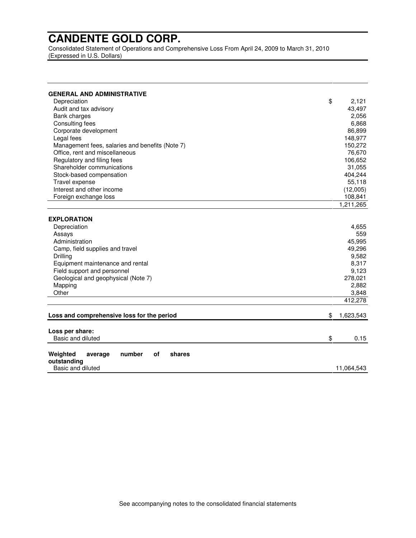Consolidated Statement of Operations and Comprehensive Loss From April 24, 2009 to March 31, 2010 (Expressed in U.S. Dollars)

| <b>GENERAL AND ADMINISTRATIVE</b>               |    |            |
|-------------------------------------------------|----|------------|
| Depreciation                                    | \$ | 2,121      |
| Audit and tax advisory                          |    | 43,497     |
| <b>Bank charges</b>                             |    | 2,056      |
| Consulting fees                                 |    | 6,868      |
| Corporate development                           |    | 86,899     |
| Legal fees                                      |    | 148,977    |
| Management fees, salaries and benefits (Note 7) |    | 150,272    |
| Office, rent and miscellaneous                  |    | 76,670     |
| Regulatory and filing fees                      |    | 106,652    |
| Shareholder communications                      |    | 31,055     |
| Stock-based compensation                        |    | 404,244    |
| Travel expense                                  |    | 55,118     |
| Interest and other income                       |    | (12,005)   |
| Foreign exchange loss                           |    | 108,841    |
|                                                 |    | 1,211,265  |
|                                                 |    |            |
| <b>EXPLORATION</b>                              |    |            |
| Depreciation                                    |    | 4,655      |
| Assays                                          |    | 559        |
| Administration                                  |    |            |
| Camp, field supplies and travel                 |    | 49,296     |
| Drilling                                        |    | 9,582      |
| Equipment maintenance and rental                |    | 8,317      |
| Field support and personnel                     |    | 9,123      |
| Geological and geophysical (Note 7)             |    | 278,021    |
| Mapping                                         |    | 2,882      |
| Other                                           |    | 3,848      |
|                                                 |    | 412,278    |
|                                                 |    |            |
| Loss and comprehensive loss for the period      | \$ | 1,623,543  |
|                                                 |    |            |
| Loss per share:                                 |    |            |
| Basic and diluted                               | \$ | 0.15       |
|                                                 |    |            |
| Weighted<br>number<br>of<br>shares<br>average   |    |            |
| outstanding<br>Basic and diluted                |    | 11,064,543 |
|                                                 |    |            |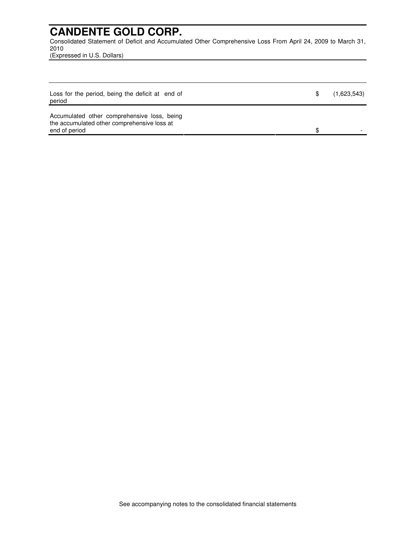Consolidated Statement of Deficit and Accumulated Other Comprehensive Loss From April 24, 2009 to March 31, 2010

(Expressed in U.S. Dollars)

| Loss for the period, being the deficit at end of<br>period                                 | (1,623,543) |
|--------------------------------------------------------------------------------------------|-------------|
| Accumulated other comprehensive loss, being<br>the accumulated other comprehensive loss at |             |
| end of period                                                                              |             |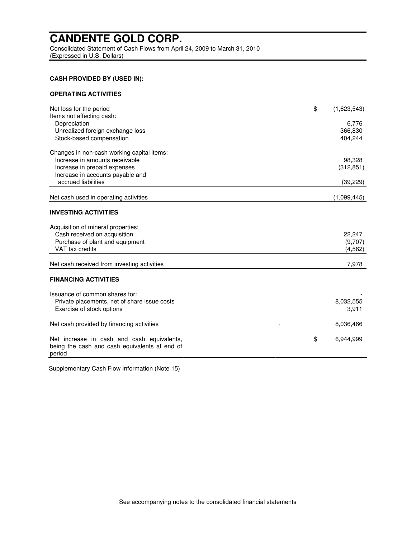Consolidated Statement of Cash Flows from April 24, 2009 to March 31, 2010 (Expressed in U.S. Dollars)

### **CASH PROVIDED BY (USED IN):**

| Net loss for the period<br>Items not affecting cash:    | \$<br>(1,623,543) |
|---------------------------------------------------------|-------------------|
| Depreciation                                            | 6,776             |
| Unrealized foreign exchange loss                        | 366,830           |
| Stock-based compensation                                | 404,244           |
|                                                         |                   |
| Changes in non-cash working capital items:              |                   |
| Increase in amounts receivable                          | 98,328            |
| Increase in prepaid expenses                            | (312, 851)        |
| Increase in accounts payable and                        |                   |
| accrued liabilities                                     | (39, 229)         |
|                                                         |                   |
| Net cash used in operating activities                   | (1,099,445)       |
| <b>INVESTING ACTIVITIES</b>                             |                   |
| Acquisition of mineral properties:                      |                   |
| Cash received on acquisition                            | 22,247            |
| Purchase of plant and equipment                         | (9,707)           |
| VAT tax credits                                         | (4, 562)          |
|                                                         |                   |
| Net cash received from investing activities             | 7,978             |
| <b>FINANCING ACTIVITIES</b>                             |                   |
| Issuance of common shares for:                          |                   |
| Private placements, net of share issue costs            | 8,032,555         |
| Exercise of stock options                               | 3,911             |
|                                                         |                   |
| Net cash provided by financing activities               | 8,036,466         |
|                                                         |                   |
| Net increase in cash and cash equivalents,              | \$<br>6,944,999   |
| being the cash and cash equivalents at end of<br>period |                   |
|                                                         |                   |

Supplementary Cash Flow Information (Note 15)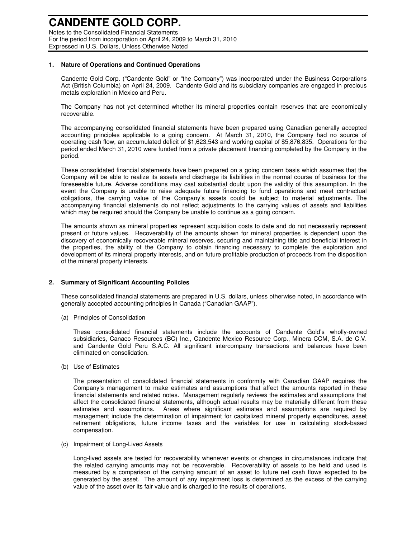Notes to the Consolidated Financial Statements For the period from incorporation on April 24, 2009 to March 31, 2010 Expressed in U.S. Dollars, Unless Otherwise Noted

#### **1. Nature of Operations and Continued Operations**

Candente Gold Corp. ("Candente Gold" or "the Company") was incorporated under the Business Corporations Act (British Columbia) on April 24, 2009. Candente Gold and its subsidiary companies are engaged in precious metals exploration in Mexico and Peru.

The Company has not yet determined whether its mineral properties contain reserves that are economically recoverable.

The accompanying consolidated financial statements have been prepared using Canadian generally accepted accounting principles applicable to a going concern. At March 31, 2010, the Company had no source of operating cash flow, an accumulated deficit of \$1,623,543 and working capital of \$5,876,835. Operations for the period ended March 31, 2010 were funded from a private placement financing completed by the Company in the period.

These consolidated financial statements have been prepared on a going concern basis which assumes that the Company will be able to realize its assets and discharge its liabilities in the normal course of business for the foreseeable future. Adverse conditions may cast substantial doubt upon the validity of this assumption. In the event the Company is unable to raise adequate future financing to fund operations and meet contractual obligations, the carrying value of the Company's assets could be subject to material adjustments. The accompanying financial statements do not reflect adjustments to the carrying values of assets and liabilities which may be required should the Company be unable to continue as a going concern.

The amounts shown as mineral properties represent acquisition costs to date and do not necessarily represent present or future values. Recoverability of the amounts shown for mineral properties is dependent upon the discovery of economically recoverable mineral reserves, securing and maintaining title and beneficial interest in the properties, the ability of the Company to obtain financing necessary to complete the exploration and development of its mineral property interests, and on future profitable production of proceeds from the disposition of the mineral property interests.

#### **2. Summary of Significant Accounting Policies**

These consolidated financial statements are prepared in U.S. dollars, unless otherwise noted, in accordance with generally accepted accounting principles in Canada ("Canadian GAAP").

(a) Principles of Consolidation

These consolidated financial statements include the accounts of Candente Gold's wholly-owned subsidiaries, Canaco Resources (BC) Inc., Candente Mexico Resource Corp., Minera CCM, S.A. de C.V. and Candente Gold Peru S.A.C. All significant intercompany transactions and balances have been eliminated on consolidation.

(b) Use of Estimates

The presentation of consolidated financial statements in conformity with Canadian GAAP requires the Company's management to make estimates and assumptions that affect the amounts reported in these financial statements and related notes. Management regularly reviews the estimates and assumptions that affect the consolidated financial statements, although actual results may be materially different from these estimates and assumptions. Areas where significant estimates and assumptions are required by management include the determination of impairment for capitalized mineral property expenditures, asset retirement obligations, future income taxes and the variables for use in calculating stock-based compensation.

(c) Impairment of Long-Lived Assets

Long-lived assets are tested for recoverability whenever events or changes in circumstances indicate that the related carrying amounts may not be recoverable. Recoverability of assets to be held and used is measured by a comparison of the carrying amount of an asset to future net cash flows expected to be generated by the asset. The amount of any impairment loss is determined as the excess of the carrying value of the asset over its fair value and is charged to the results of operations.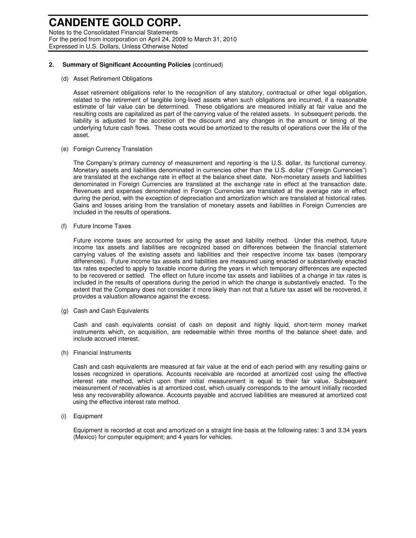Notes to the Consolidated Financial Statements For the period from incorporation on April 24, 2009 to March 31, 2010 Expressed in U.S. Dollars, Unless Otherwise Noted

#### **2. Summary of Significant Accounting Policies** (continued)

(d) Asset Retirement Obligations

Asset retirement obligations refer to the recognition of any statutory, contractual or other legal obligation, related to the retirement of tangible long-lived assets when such obligations are incurred, if a reasonable estimate of fair value can be determined. These obligations are measured initially at fair value and the resulting costs are capitalized as part of the carrying value of the related assets. In subsequent periods, the liability is adjusted for the accretion of the discount and any changes in the amount or timing of the underlying future cash flows. These costs would be amortized to the results of operations over the life of the asset.

(e) Foreign Currency Translation

The Company's primary currency of measurement and reporting is the U.S. dollar, its functional currency. Monetary assets and liabilities denominated in currencies other than the U.S. dollar ("Foreign Currencies") are translated at the exchange rate in effect at the balance sheet date. Non-monetary assets and liabilities denominated in Foreign Currencies are translated at the exchange rate in effect at the transaction date. Revenues and expenses denominated in Foreign Currencies are translated at the average rate in effect during the period, with the exception of depreciation and amortization which are translated at historical rates. Gains and losses arising from the translation of monetary assets and liabilities in Foreign Currencies are included in the results of operations.

(f) Future Income Taxes

Future income taxes are accounted for using the asset and liability method. Under this method, future income tax assets and liabilities are recognized based on differences between the financial statement carrying values of the existing assets and liabilities and their respective income tax bases (temporary differences). Future income tax assets and liabilities are measured using enacted or substantively enacted tax rates expected to apply to taxable income during the years in which temporary differences are expected to be recovered or settled. The effect on future income tax assets and liabilities of a change in tax rates is included in the results of operations during the period in which the change is substantively enacted. To the extent that the Company does not consider it more likely than not that a future tax asset will be recovered, it provides a valuation allowance against the excess.

(g) Cash and Cash Equivalents

Cash and cash equivalents consist of cash on deposit and highly liquid, short-term money market instruments which, on acquisition, are redeemable within three months of the balance sheet date, and include accrued interest.

(h) Financial Instruments

Cash and cash equivalents are measured at fair value at the end of each period with any resulting gains or losses recognized in operations. Accounts receivable are recorded at amortized cost using the effective interest rate method, which upon their initial measurement is equal to their fair value. Subsequent measurement of receivables is at amortized cost, which usually corresponds to the amount initially recorded less any recoverability allowance. Accounts payable and accrued liabilities are measured at amortized cost using the effective interest rate method.

(i) Equipment

Equipment is recorded at cost and amortized on a straight line basis at the following rates: 3 and 3.34 years (Mexico) for computer equipment; and 4 years for vehicles.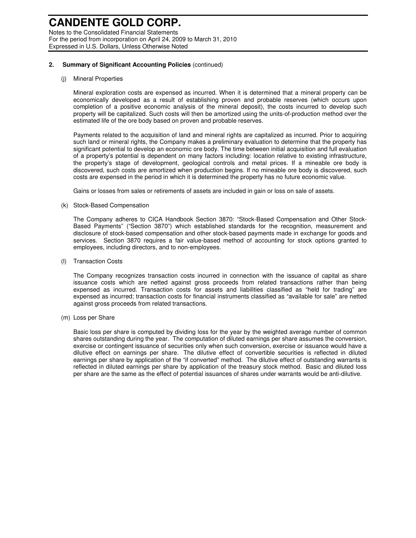Notes to the Consolidated Financial Statements For the period from incorporation on April 24, 2009 to March 31, 2010 Expressed in U.S. Dollars, Unless Otherwise Noted

#### **2. Summary of Significant Accounting Policies** (continued)

#### (j) Mineral Properties

Mineral exploration costs are expensed as incurred. When it is determined that a mineral property can be economically developed as a result of establishing proven and probable reserves (which occurs upon completion of a positive economic analysis of the mineral deposit), the costs incurred to develop such property will be capitalized. Such costs will then be amortized using the units-of-production method over the estimated life of the ore body based on proven and probable reserves.

Payments related to the acquisition of land and mineral rights are capitalized as incurred. Prior to acquiring such land or mineral rights, the Company makes a preliminary evaluation to determine that the property has significant potential to develop an economic ore body. The time between initial acquisition and full evaluation of a property's potential is dependent on many factors including: location relative to existing infrastructure, the property's stage of development, geological controls and metal prices. If a mineable ore body is discovered, such costs are amortized when production begins. If no mineable ore body is discovered, such costs are expensed in the period in which it is determined the property has no future economic value.

Gains or losses from sales or retirements of assets are included in gain or loss on sale of assets.

#### (k) Stock-Based Compensation

The Company adheres to CICA Handbook Section 3870: "Stock-Based Compensation and Other Stock-Based Payments" ("Section 3870") which established standards for the recognition, measurement and disclosure of stock-based compensation and other stock-based payments made in exchange for goods and services. Section 3870 requires a fair value-based method of accounting for stock options granted to employees, including directors, and to non-employees.

(l) Transaction Costs

The Company recognizes transaction costs incurred in connection with the issuance of capital as share issuance costs which are netted against gross proceeds from related transactions rather than being expensed as incurred. Transaction costs for assets and liabilities classified as "held for trading" are expensed as incurred; transaction costs for financial instruments classified as "available for sale" are netted against gross proceeds from related transactions.

(m) Loss per Share

Basic loss per share is computed by dividing loss for the year by the weighted average number of common shares outstanding during the year. The computation of diluted earnings per share assumes the conversion, exercise or contingent issuance of securities only when such conversion, exercise or issuance would have a dilutive effect on earnings per share. The dilutive effect of convertible securities is reflected in diluted earnings per share by application of the "if converted" method. The dilutive effect of outstanding warrants is reflected in diluted earnings per share by application of the treasury stock method. Basic and diluted loss per share are the same as the effect of potential issuances of shares under warrants would be anti-dilutive.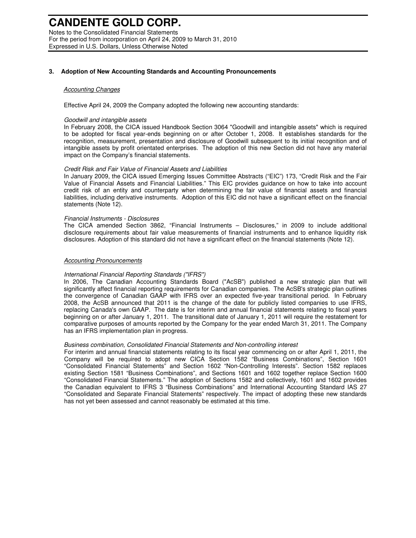Notes to the Consolidated Financial Statements For the period from incorporation on April 24, 2009 to March 31, 2010 Expressed in U.S. Dollars, Unless Otherwise Noted

#### **3. Adoption of New Accounting Standards and Accounting Pronouncements**

#### Accounting Changes

Effective April 24, 2009 the Company adopted the following new accounting standards:

#### Goodwill and intangible assets

In February 2008, the CICA issued Handbook Section 3064 "Goodwill and intangible assets" which is required to be adopted for fiscal year-ends beginning on or after October 1, 2008. It establishes standards for the recognition, measurement, presentation and disclosure of Goodwill subsequent to its initial recognition and of intangible assets by profit orientated enterprises. The adoption of this new Section did not have any material impact on the Company's financial statements.

#### Credit Risk and Fair Value of Financial Assets and Liabilities

In January 2009, the CICA issued Emerging Issues Committee Abstracts ("EIC") 173, "Credit Risk and the Fair Value of Financial Assets and Financial Liabilities." This EIC provides guidance on how to take into account credit risk of an entity and counterparty when determining the fair value of financial assets and financial liabilities, including derivative instruments. Adoption of this EIC did not have a significant effect on the financial statements (Note 12).

#### Financial Instruments - Disclosures

The CICA amended Section 3862, "Financial Instruments – Disclosures," in 2009 to include additional disclosure requirements about fair value measurements of financial instruments and to enhance liquidity risk disclosures. Adoption of this standard did not have a significant effect on the financial statements (Note 12).

#### **Accounting Pronouncements**

#### International Financial Reporting Standards ("IFRS")

In 2006, The Canadian Accounting Standards Board ("AcSB") published a new strategic plan that will significantly affect financial reporting requirements for Canadian companies. The AcSB's strategic plan outlines the convergence of Canadian GAAP with IFRS over an expected five-year transitional period. In February 2008, the AcSB announced that 2011 is the change of the date for publicly listed companies to use IFRS, replacing Canada's own GAAP. The date is for interim and annual financial statements relating to fiscal years beginning on or after January 1, 2011. The transitional date of January 1, 2011 will require the restatement for comparative purposes of amounts reported by the Company for the year ended March 31, 2011. The Company has an IFRS implementation plan in progress.

#### Business combination, Consolidated Financial Statements and Non-controlling interest

For interim and annual financial statements relating to its fiscal year commencing on or after April 1, 2011, the Company will be required to adopt new CICA Section 1582 "Business Combinations", Section 1601 "Consolidated Financial Statements" and Section 1602 "Non-Controlling Interests". Section 1582 replaces existing Section 1581 "Business Combinations", and Sections 1601 and 1602 together replace Section 1600 "Consolidated Financial Statements." The adoption of Sections 1582 and collectively, 1601 and 1602 provides the Canadian equivalent to IFRS 3 "Business Combinations" and International Accounting Standard IAS 27 "Consolidated and Separate Financial Statements" respectively. The impact of adopting these new standards has not yet been assessed and cannot reasonably be estimated at this time.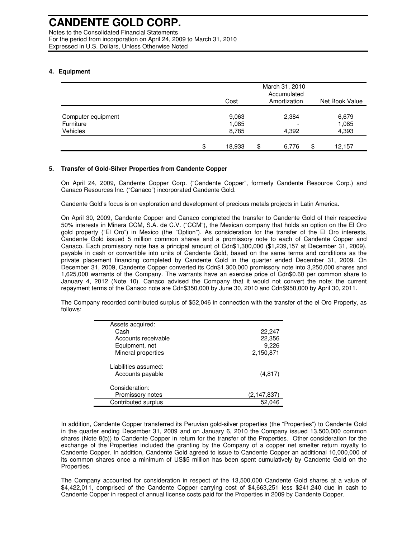Notes to the Consolidated Financial Statements For the period from incorporation on April 24, 2009 to March 31, 2010 Expressed in U.S. Dollars, Unless Otherwise Noted

### **4. Equipment**

|                       | Cost           | March 31, 2010<br>Accumulated<br>Amortization | Net Book Value |
|-----------------------|----------------|-----------------------------------------------|----------------|
| Computer equipment    | 9,063          | 2,384                                         | 6,679          |
| Furniture<br>Vehicles | 1,085<br>8,785 | 4,392                                         | 1,085<br>4,393 |
|                       | \$<br>18,933   | \$<br>6,776                                   | \$<br>12,157   |

### **5. Transfer of Gold-Silver Properties from Candente Copper**

On April 24, 2009, Candente Copper Corp. ("Candente Copper", formerly Candente Resource Corp.) and Canaco Resources Inc. ("Canaco") incorporated Candente Gold.

Candente Gold's focus is on exploration and development of precious metals projects in Latin America.

On April 30, 2009, Candente Copper and Canaco completed the transfer to Candente Gold of their respective 50% interests in Minera CCM, S.A. de C.V. ("CCM"), the Mexican company that holds an option on the El Oro gold property ("El Oro") in Mexico (the "Option"). As consideration for the transfer of the El Oro interests, Candente Gold issued 5 million common shares and a promissory note to each of Candente Copper and Canaco. Each promissory note has a principal amount of Cdn\$1,300,000 (\$1,239,157 at December 31, 2009), payable in cash or convertible into units of Candente Gold, based on the same terms and conditions as the private placement financing completed by Candente Gold in the quarter ended December 31, 2009. On December 31, 2009, Candente Copper converted its Cdn\$1,300,000 promissory note into 3,250,000 shares and 1,625,000 warrants of the Company. The warrants have an exercise price of Cdn\$0.60 per common share to January 4, 2012 (Note 10). Canaco advised the Company that it would not convert the note; the current repayment terms of the Canaco note are Cdn\$350,000 by June 30, 2010 and Cdn\$950,000 by April 30, 2011.

The Company recorded contributed surplus of \$52,046 in connection with the transfer of the el Oro Property, as follows:

| Assets acquired:     |             |
|----------------------|-------------|
| Cash                 | 22,247      |
| Accounts receivable  | 22,356      |
| Equipment, net       | 9,226       |
| Mineral properties   | 2,150,871   |
| Liabilities assumed: |             |
| Accounts payable     | (4,817)     |
| Consideration:       |             |
| Promissory notes     | (2,147,837) |
| Contributed surplus  | 52.046      |

In addition, Candente Copper transferred its Peruvian gold-silver properties (the "Properties") to Candente Gold in the quarter ending December 31, 2009 and on January 6, 2010 the Company issued 13,500,000 common shares (Note 8(b)) to Candente Copper in return for the transfer of the Properties. Other consideration for the exchange of the Properties included the granting by the Company of a copper net smelter return royalty to Candente Copper. In addition, Candente Gold agreed to issue to Candente Copper an additional 10,000,000 of its common shares once a minimum of US\$5 million has been spent cumulatively by Candente Gold on the Properties.

The Company accounted for consideration in respect of the 13,500,000 Candente Gold shares at a value of \$4,422,011, comprised of the Candente Copper carrying cost of \$4,663,251 less \$241,240 due in cash to Candente Copper in respect of annual license costs paid for the Properties in 2009 by Candente Copper.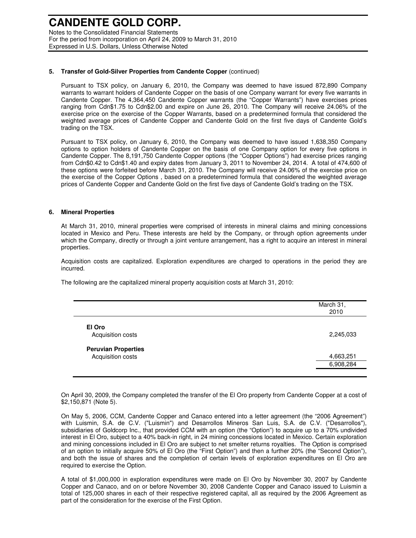Notes to the Consolidated Financial Statements For the period from incorporation on April 24, 2009 to March 31, 2010 Expressed in U.S. Dollars, Unless Otherwise Noted

#### **5. Transfer of Gold-Silver Properties from Candente Copper** (continued)

Pursuant to TSX policy, on January 6, 2010, the Company was deemed to have issued 872,890 Company warrants to warrant holders of Candente Copper on the basis of one Company warrant for every five warrants in Candente Copper. The 4,364,450 Candente Copper warrants (the "Copper Warrants") have exercises prices ranging from Cdn\$1.75 to Cdn\$2.00 and expire on June 26, 2010. The Company will receive 24.06% of the exercise price on the exercise of the Copper Warrants, based on a predetermined formula that considered the weighted average prices of Candente Copper and Candente Gold on the first five days of Candente Gold's trading on the TSX.

Pursuant to TSX policy, on January 6, 2010, the Company was deemed to have issued 1,638,350 Company options to option holders of Candente Copper on the basis of one Company option for every five options in Candente Copper. The 8,191,750 Candente Copper options (the "Copper Options") had exercise prices ranging from Cdn\$0.42 to Cdn\$1.40 and expiry dates from January 3, 2011 to November 24, 2014. A total of 474,600 of these options were forfeited before March 31, 2010. The Company will receive 24.06% of the exercise price on the exercise of the Copper Options , based on a predetermined formula that considered the weighted average prices of Candente Copper and Candente Gold on the first five days of Candente Gold's trading on the TSX.

#### **6. Mineral Properties**

At March 31, 2010, mineral properties were comprised of interests in mineral claims and mining concessions located in Mexico and Peru. These interests are held by the Company, or through option agreements under which the Company, directly or through a joint venture arrangement, has a right to acquire an interest in mineral properties.

Acquisition costs are capitalized. Exploration expenditures are charged to operations in the period they are incurred.

The following are the capitalized mineral property acquisition costs at March 31, 2010:

|                             | March 31,<br>2010 |
|-----------------------------|-------------------|
| El Oro<br>Acquisition costs | 2,245,033         |
| <b>Peruvian Properties</b>  |                   |
| Acquisition costs           | 4,663,251         |
|                             | 6,908,284         |

On April 30, 2009, the Company completed the transfer of the El Oro property from Candente Copper at a cost of \$2,150,871 (Note 5).

On May 5, 2006, CCM, Candente Copper and Canaco entered into a letter agreement (the "2006 Agreement") with Luismin, S.A. de C.V. ("Luismin") and Desarrollos Mineros San Luis, S.A. de C.V. ("Desarrollos"), subsidiaries of Goldcorp Inc., that provided CCM with an option (the "Option") to acquire up to a 70% undivided interest in El Oro, subject to a 40% back-in right, in 24 mining concessions located in Mexico. Certain exploration and mining concessions included in El Oro are subject to net smelter returns royalties. The Option is comprised of an option to initially acquire 50% of El Oro (the "First Option") and then a further 20% (the "Second Option"), and both the issue of shares and the completion of certain levels of exploration expenditures on El Oro are required to exercise the Option.

A total of \$1,000,000 in exploration expenditures were made on El Oro by November 30, 2007 by Candente Copper and Canaco, and on or before November 30, 2008 Candente Copper and Canaco issued to Luismin a total of 125,000 shares in each of their respective registered capital, all as required by the 2006 Agreement as part of the consideration for the exercise of the First Option.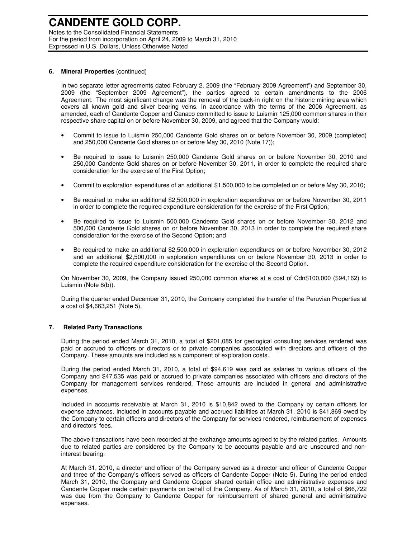Notes to the Consolidated Financial Statements For the period from incorporation on April 24, 2009 to March 31, 2010 Expressed in U.S. Dollars, Unless Otherwise Noted

#### **6. Mineral Properties** (continued)

In two separate letter agreements dated February 2, 2009 (the "February 2009 Agreement") and September 30, 2009 (the "September 2009 Agreement"), the parties agreed to certain amendments to the 2006 Agreement. The most significant change was the removal of the back-in right on the historic mining area which covers all known gold and silver bearing veins. In accordance with the terms of the 2006 Agreement, as amended, each of Candente Copper and Canaco committed to issue to Luismin 125,000 common shares in their respective share capital on or before November 30, 2009, and agreed that the Company would:

- Commit to issue to Luismin 250,000 Candente Gold shares on or before November 30, 2009 (completed) and 250,000 Candente Gold shares on or before May 30, 2010 (Note 17));
- Be required to issue to Luismin 250,000 Candente Gold shares on or before November 30, 2010 and 250,000 Candente Gold shares on or before November 30, 2011, in order to complete the required share consideration for the exercise of the First Option;
- Commit to exploration expenditures of an additional \$1,500,000 to be completed on or before May 30, 2010;
- Be required to make an additional \$2,500,000 in exploration expenditures on or before November 30, 2011 in order to complete the required expenditure consideration for the exercise of the First Option;
- Be required to issue to Luismin 500,000 Candente Gold shares on or before November 30, 2012 and 500,000 Candente Gold shares on or before November 30, 2013 in order to complete the required share consideration for the exercise of the Second Option; and
- Be required to make an additional \$2,500,000 in exploration expenditures on or before November 30, 2012 and an additional \$2,500,000 in exploration expenditures on or before November 30, 2013 in order to complete the required expenditure consideration for the exercise of the Second Option.

On November 30, 2009, the Company issued 250,000 common shares at a cost of Cdn\$100,000 (\$94,162) to Luismin (Note 8(b)).

During the quarter ended December 31, 2010, the Company completed the transfer of the Peruvian Properties at a cost of \$4,663,251 (Note 5).

#### **7. Related Party Transactions**

During the period ended March 31, 2010, a total of \$201,085 for geological consulting services rendered was paid or accrued to officers or directors or to private companies associated with directors and officers of the Company. These amounts are included as a component of exploration costs.

During the period ended March 31, 2010, a total of \$94,619 was paid as salaries to various officers of the Company and \$47,535 was paid or accrued to private companies associated with officers and directors of the Company for management services rendered. These amounts are included in general and administrative expenses.

Included in accounts receivable at March 31, 2010 is \$10,842 owed to the Company by certain officers for expense advances. Included in accounts payable and accrued liabilities at March 31, 2010 is \$41,869 owed by the Company to certain officers and directors of the Company for services rendered, reimbursement of expenses and directors' fees.

The above transactions have been recorded at the exchange amounts agreed to by the related parties. Amounts due to related parties are considered by the Company to be accounts payable and are unsecured and noninterest bearing.

At March 31, 2010, a director and officer of the Company served as a director and officer of Candente Copper and three of the Company's officers served as officers of Candente Copper (Note 5). During the period ended March 31, 2010, the Company and Candente Copper shared certain office and administrative expenses and Candente Copper made certain payments on behalf of the Company. As of March 31, 2010, a total of \$66,722 was due from the Company to Candente Copper for reimbursement of shared general and administrative expenses.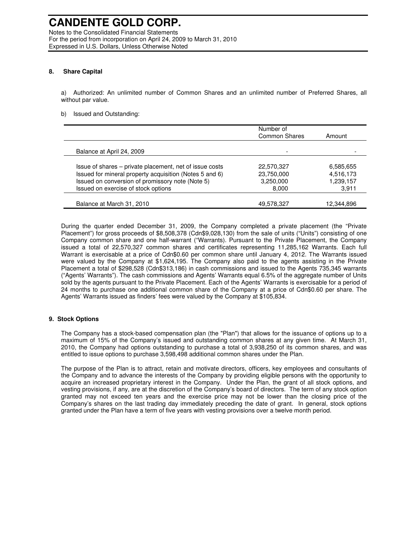#### **8. Share Capital**

a) Authorized: An unlimited number of Common Shares and an unlimited number of Preferred Shares, all without par value.

#### b) Issued and Outstanding:

|                                                                                                                    | Number of<br><b>Common Shares</b> | Amount                 |
|--------------------------------------------------------------------------------------------------------------------|-----------------------------------|------------------------|
| Balance at April 24, 2009                                                                                          |                                   |                        |
| Issue of shares – private placement, net of issue costs<br>Issued for mineral property acquisition (Notes 5 and 6) | 22,570,327<br>23,750,000          | 6,585,655<br>4,516,173 |
| Issued on conversion of promissory note (Note 5)<br>Issued on exercise of stock options                            | 3,250,000<br>8,000                | 1,239,157<br>3,911     |
| Balance at March 31, 2010                                                                                          | 49,578,327                        | 12,344,896             |

During the quarter ended December 31, 2009, the Company completed a private placement (the "Private Placement") for gross proceeds of \$8,508,378 (Cdn\$9,028,130) from the sale of units ("Units") consisting of one Company common share and one half-warrant ("Warrants). Pursuant to the Private Placement, the Company issued a total of 22,570,327 common shares and certificates representing 11,285,162 Warrants. Each full Warrant is exercisable at a price of Cdn\$0.60 per common share until January 4, 2012. The Warrants issued were valued by the Company at \$1,624,195. The Company also paid to the agents assisting in the Private Placement a total of \$298,528 (Cdn\$313,186) in cash commissions and issued to the Agents 735,345 warrants ("Agents' Warrants"). The cash commissions and Agents' Warrants equal 6.5% of the aggregate number of Units sold by the agents pursuant to the Private Placement. Each of the Agents' Warrants is exercisable for a period of 24 months to purchase one additional common share of the Company at a price of Cdn\$0.60 per share. The Agents' Warrants issued as finders' fees were valued by the Company at \$105,834.

#### **9. Stock Options**

The Company has a stock-based compensation plan (the "Plan") that allows for the issuance of options up to a maximum of 15% of the Company's issued and outstanding common shares at any given time. At March 31, 2010, the Company had options outstanding to purchase a total of 3,938,250 of its common shares, and was entitled to issue options to purchase 3,598,498 additional common shares under the Plan.

The purpose of the Plan is to attract, retain and motivate directors, officers, key employees and consultants of the Company and to advance the interests of the Company by providing eligible persons with the opportunity to acquire an increased proprietary interest in the Company. Under the Plan, the grant of all stock options, and vesting provisions, if any, are at the discretion of the Company's board of directors. The term of any stock option granted may not exceed ten years and the exercise price may not be lower than the closing price of the Company's shares on the last trading day immediately preceding the date of grant. In general, stock options granted under the Plan have a term of five years with vesting provisions over a twelve month period.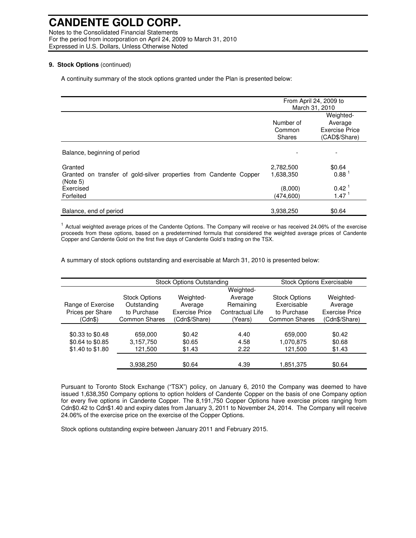Notes to the Consolidated Financial Statements For the period from incorporation on April 24, 2009 to March 31, 2010 Expressed in U.S. Dollars, Unless Otherwise Noted

#### **9. Stock Options** (continued)

A continuity summary of the stock options granted under the Plan is presented below:

|                                                                                |               | From April 24, 2009 to |
|--------------------------------------------------------------------------------|---------------|------------------------|
|                                                                                |               | March 31, 2010         |
|                                                                                |               | Weighted-              |
|                                                                                | Number of     | Average                |
|                                                                                | Common        | <b>Exercise Price</b>  |
|                                                                                | <b>Shares</b> | (CAD\$/Share)          |
|                                                                                |               |                        |
| Balance, beginning of period                                                   |               |                        |
| Granted                                                                        | 2,782,500     | \$0.64                 |
| Granted on transfer of gold-silver properties from Candente Copper<br>(Note 5) | 1,638,350     | 0.88 <sup>1</sup>      |
| Exercised                                                                      | (8,000)       | 0.42 <sup>1</sup>      |
| Forfeited                                                                      | (474, 600)    | 1.47 <sup>1</sup>      |
|                                                                                |               |                        |
| Balance, end of period                                                         | 3,938,250     | \$0.64                 |

<sup>1</sup> Actual weighted average prices of the Candente Options. The Company will receive or has received 24.06% of the exercise proceeds from these options, based on a predetermined formula that considered the weighted average prices of Candente Copper and Candente Gold on the first five days of Candente Gold's trading on the TSX.

A summary of stock options outstanding and exercisable at March 31, 2010 is presented below:

|                   | <b>Stock Options Outstanding</b> |                       |                  | <b>Stock Options Exercisable</b> |                       |
|-------------------|----------------------------------|-----------------------|------------------|----------------------------------|-----------------------|
|                   |                                  |                       | Weighted-        |                                  |                       |
|                   | <b>Stock Options</b>             | Weighted-             | Average          | <b>Stock Options</b>             | Weighted-             |
| Range of Exercise | Outstanding                      | Average               | Remaining        | Exercisable                      | Average               |
| Prices per Share  | to Purchase                      | <b>Exercise Price</b> | Contractual Life | to Purchase                      | <b>Exercise Price</b> |
| (Cdn\$)           | <b>Common Shares</b>             | (Cdn\$/Share)         | (Years)          | <b>Common Shares</b>             | (Cdn\$/Share)         |
|                   |                                  |                       |                  |                                  |                       |
| \$0.33 to \$0.48  | 659,000                          | \$0.42                | 4.40             | 659,000                          | \$0.42                |
| \$0.64 to \$0.85  | 3,157,750                        | \$0.65                | 4.58             | 1,070,875                        | \$0.68                |
| \$1.40 to \$1.80  | 121,500                          | \$1.43                | 2.22             | 121,500                          | \$1.43                |
|                   | 3,938,250                        | \$0.64                | 4.39             | 1,851,375                        | \$0.64                |

Pursuant to Toronto Stock Exchange ("TSX") policy, on January 6, 2010 the Company was deemed to have issued 1,638,350 Company options to option holders of Candente Copper on the basis of one Company option for every five options in Candente Copper. The 8,191,750 Copper Options have exercise prices ranging from Cdn\$0.42 to Cdn\$1.40 and expiry dates from January 3, 2011 to November 24, 2014. The Company will receive 24.06% of the exercise price on the exercise of the Copper Options.

Stock options outstanding expire between January 2011 and February 2015.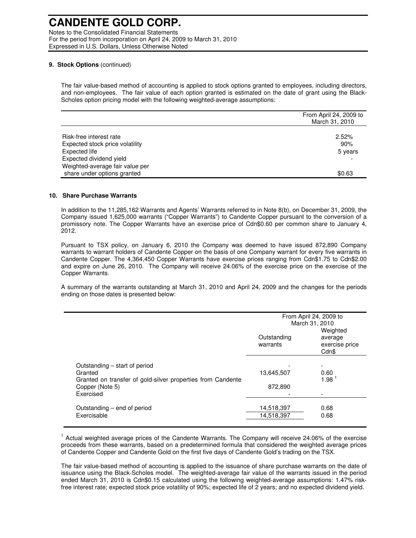Notes to the Consolidated Financial Statements For the period from incorporation on April 24, 2009 to March 31, 2010 Expressed in U.S. Dollars, Unless Otherwise Noted

#### **9. Stock Options** (continued)

The fair value-based method of accounting is applied to stock options granted to employees, including directors, and non-employees. The fair value of each option granted is estimated on the date of grant using the Black-Scholes option pricing model with the following weighted-average assumptions:

|                                 | From April 24, 2009 to<br>March 31, 2010 |
|---------------------------------|------------------------------------------|
|                                 |                                          |
| Risk-free interest rate         | 2.52%                                    |
| Expected stock price volatility | 90%                                      |
| Expected life                   | 5 years                                  |
| Expected dividend yield         |                                          |
| Weighted-average fair value per |                                          |
| share under options granted     | \$0.63                                   |

#### **10. Share Purchase Warrants**

In addition to the 11,285,162 Warrants and Agents' Warrants referred to in Note 8(b), on December 31, 2009, the Company issued 1,625,000 warrants ("Copper Warrants") to Candente Copper pursuant to the conversion of a promissory note. The Copper Warrants have an exercise price of Cdn\$0.60 per common share to January 4, 2012.

Pursuant to TSX policy, on January 6, 2010 the Company was deemed to have issued 872,890 Company warrants to warrant holders of Candente Copper on the basis of one Company warrant for every five warrants in Candente Copper. The 4,364,450 Copper Warrants have exercise prices ranging from Cdn\$1.75 to Cdn\$2.00 and expire on June 26, 2010. The Company will receive 24.06% of the exercise price on the exercise of the Copper Warrants.

A summary of the warrants outstanding at March 31, 2010 and April 24, 2009 and the changes for the periods ending on those dates is presented below:

|                                                                        | From April 24, 2009 to<br>March 31, 2010 |                                                |
|------------------------------------------------------------------------|------------------------------------------|------------------------------------------------|
|                                                                        | Outstanding<br>warrants                  | Weighted<br>average<br>exercise price<br>Cdn\$ |
| Outstanding – start of period                                          |                                          | $\overline{\phantom{0}}$                       |
| Granted<br>Granted on transfer of gold-silver properties from Candente | 13,645,507                               | 0.60<br>$1.98-1$                               |
| Copper (Note 5)                                                        | 872,890                                  |                                                |
| Exercised                                                              |                                          |                                                |
| Outstanding – end of period                                            | 14,518,397                               | 0.68                                           |
| Exercisable                                                            | 14,518,397                               | 0.68                                           |

<sup>1</sup> Actual weighted average prices of the Candente Warrants. The Company will receive 24.06% of the exercise proceeds from these warrants, based on a predetermined formula that considered the weighted average prices of Candente Copper and Candente Gold on the first five days of Candente Gold's trading on the TSX.

The fair value-based method of accounting is applied to the issuance of share purchase warrants on the date of issuance using the Black-Scholes model. The weighted-average fair value of the warrants issued in the period ended March 31, 2010 is Cdn\$0.15 calculated using the following weighted-average assumptions: 1.47% riskfree interest rate; expected stock price volatility of 90%; expected life of 2 years; and no expected dividend yield.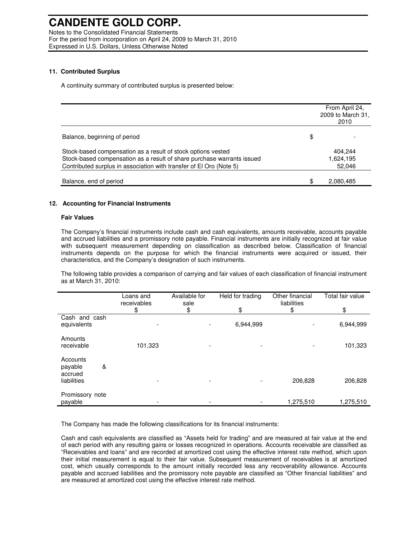Notes to the Consolidated Financial Statements For the period from incorporation on April 24, 2009 to March 31, 2010 Expressed in U.S. Dollars, Unless Otherwise Noted

#### **11. Contributed Surplus**

A continuity summary of contributed surplus is presented below:

|                                                                                                                                                                                                               | From April 24,<br>2009 to March 31,<br>2010 |
|---------------------------------------------------------------------------------------------------------------------------------------------------------------------------------------------------------------|---------------------------------------------|
| Balance, beginning of period                                                                                                                                                                                  | \$                                          |
| Stock-based compensation as a result of stock options vested<br>Stock-based compensation as a result of share purchase warrants issued<br>Contributed surplus in association with transfer of El Oro (Note 5) | 404,244<br>1,624,195<br>52,046              |
| Balance, end of period                                                                                                                                                                                        | \$<br>2,080,485                             |

### **12. Accounting for Financial Instruments**

#### **Fair Values**

The Company's financial instruments include cash and cash equivalents, amounts receivable, accounts payable and accrued liabilities and a promissory note payable. Financial instruments are initially recognized at fair value with subsequent measurement depending on classification as described below. Classification of financial instruments depends on the purpose for which the financial instruments were acquired or issued, their characteristics, and the Company's designation of such instruments.

The following table provides a comparison of carrying and fair values of each classification of financial instrument as at March 31, 2010:

|                                     | Loans and<br>receivables<br>\$ | Available for<br>sale<br>\$ | Held for trading<br>\$ | Other financial<br>liabilities<br>\$ | Total fair value<br>\$ |
|-------------------------------------|--------------------------------|-----------------------------|------------------------|--------------------------------------|------------------------|
| Cash and cash<br>equivalents        |                                | $\overline{\phantom{a}}$    | 6,944,999              |                                      | 6,944,999              |
| Amounts<br>receivable               | 101,323                        | ٠                           | -                      |                                      | 101,323                |
| Accounts<br>&<br>payable<br>accrued |                                |                             |                        |                                      |                        |
| liabilities                         |                                | $\overline{\phantom{0}}$    |                        | 206,828                              | 206,828                |
| Promissory note<br>payable          |                                | $\overline{\phantom{a}}$    |                        | 1,275,510                            | 1,275,510              |

The Company has made the following classifications for its financial instruments:

Cash and cash equivalents are classified as "Assets held for trading" and are measured at fair value at the end of each period with any resulting gains or losses recognized in operations. Accounts receivable are classified as "Receivables and loans" and are recorded at amortized cost using the effective interest rate method, which upon their initial measurement is equal to their fair value. Subsequent measurement of receivables is at amortized cost, which usually corresponds to the amount initially recorded less any recoverability allowance. Accounts payable and accrued liabilities and the promissory note payable are classified as "Other financial liabilities" and are measured at amortized cost using the effective interest rate method.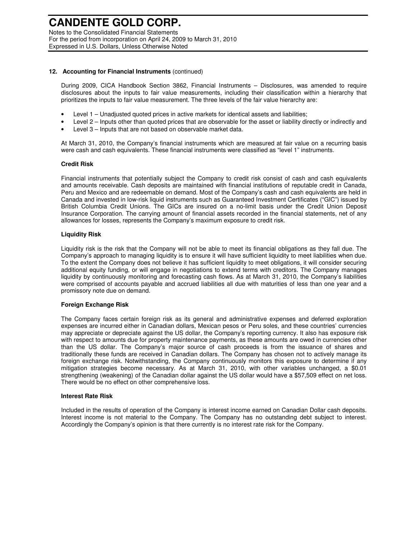Notes to the Consolidated Financial Statements For the period from incorporation on April 24, 2009 to March 31, 2010 Expressed in U.S. Dollars, Unless Otherwise Noted

#### **12. Accounting for Financial Instruments** (continued)

During 2009, CICA Handbook Section 3862, Financial Instruments – Disclosures, was amended to require disclosures about the inputs to fair value measurements, including their classification within a hierarchy that prioritizes the inputs to fair value measurement. The three levels of the fair value hierarchy are:

- Level 1 Unadjusted quoted prices in active markets for identical assets and liabilities;
- Level 2 Inputs other than quoted prices that are observable for the asset or liability directly or indirectly and
- Level 3 Inputs that are not based on observable market data.

At March 31, 2010, the Company's financial instruments which are measured at fair value on a recurring basis were cash and cash equivalents. These financial instruments were classified as "level 1" instruments.

### **Credit Risk**

Financial instruments that potentially subject the Company to credit risk consist of cash and cash equivalents and amounts receivable. Cash deposits are maintained with financial institutions of reputable credit in Canada, Peru and Mexico and are redeemable on demand. Most of the Company's cash and cash equivalents are held in Canada and invested in low-risk liquid instruments such as Guaranteed Investment Certificates ("GIC") issued by British Columbia Credit Unions. The GICs are insured on a no-limit basis under the Credit Union Deposit Insurance Corporation. The carrying amount of financial assets recorded in the financial statements, net of any allowances for losses, represents the Company's maximum exposure to credit risk.

### **Liquidity Risk**

Liquidity risk is the risk that the Company will not be able to meet its financial obligations as they fall due. The Company's approach to managing liquidity is to ensure it will have sufficient liquidity to meet liabilities when due. To the extent the Company does not believe it has sufficient liquidity to meet obligations, it will consider securing additional equity funding, or will engage in negotiations to extend terms with creditors. The Company manages liquidity by continuously monitoring and forecasting cash flows. As at March 31, 2010, the Company's liabilities were comprised of accounts payable and accrued liabilities all due with maturities of less than one year and a promissory note due on demand.

#### **Foreign Exchange Risk**

The Company faces certain foreign risk as its general and administrative expenses and deferred exploration expenses are incurred either in Canadian dollars, Mexican pesos or Peru soles, and these countries' currencies may appreciate or depreciate against the US dollar, the Company's reporting currency. It also has exposure risk with respect to amounts due for property maintenance payments, as these amounts are owed in currencies other than the US dollar. The Company's major source of cash proceeds is from the issuance of shares and traditionally these funds are received in Canadian dollars. The Company has chosen not to actively manage its foreign exchange risk. Notwithstanding, the Company continuously monitors this exposure to determine if any mitigation strategies become necessary. As at March 31, 2010, with other variables unchanged, a \$0.01 strengthening (weakening) of the Canadian dollar against the US dollar would have a \$57,509 effect on net loss. There would be no effect on other comprehensive loss.

#### **Interest Rate Risk**

Included in the results of operation of the Company is interest income earned on Canadian Dollar cash deposits. Interest income is not material to the Company. The Company has no outstanding debt subject to interest. Accordingly the Company's opinion is that there currently is no interest rate risk for the Company.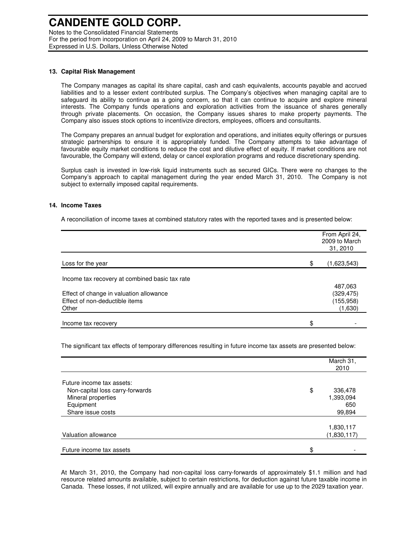Notes to the Consolidated Financial Statements For the period from incorporation on April 24, 2009 to March 31, 2010 Expressed in U.S. Dollars, Unless Otherwise Noted

#### **13. Capital Risk Management**

The Company manages as capital its share capital, cash and cash equivalents, accounts payable and accrued liabilities and to a lesser extent contributed surplus. The Company's objectives when managing capital are to safeguard its ability to continue as a going concern, so that it can continue to acquire and explore mineral interests. The Company funds operations and exploration activities from the issuance of shares generally through private placements. On occasion, the Company issues shares to make property payments. The Company also issues stock options to incentivize directors, employees, officers and consultants.

The Company prepares an annual budget for exploration and operations, and initiates equity offerings or pursues strategic partnerships to ensure it is appropriately funded. The Company attempts to take advantage of favourable equity market conditions to reduce the cost and dilutive effect of equity. If market conditions are not favourable, the Company will extend, delay or cancel exploration programs and reduce discretionary spending.

Surplus cash is invested in low-risk liquid instruments such as secured GICs. There were no changes to the Company's approach to capital management during the year ended March 31, 2010. The Company is not subject to externally imposed capital requirements.

#### **14. Income Taxes**

A reconciliation of income taxes at combined statutory rates with the reported taxes and is presented below:

|                                                | From April 24,<br>2009 to March<br>31, 2010 |
|------------------------------------------------|---------------------------------------------|
| Loss for the year                              | \$<br>(1,623,543)                           |
| Income tax recovery at combined basic tax rate |                                             |
|                                                | 487,063                                     |
| Effect of change in valuation allowance        | (329, 475)                                  |
| Effect of non-deductible items                 | (155, 958)                                  |
| Other                                          | (1,630)                                     |
| Income tax recovery                            | \$                                          |

The significant tax effects of temporary differences resulting in future income tax assets are presented below:

|                                                                    | March 31,<br>2010                 |
|--------------------------------------------------------------------|-----------------------------------|
| Future income tax assets:                                          |                                   |
| Non-capital loss carry-forwards<br>Mineral properties<br>Equipment | \$<br>336,478<br>1,393,094<br>650 |
| Share issue costs                                                  | 99,894                            |
| Valuation allowance                                                | 1,830,117<br>(1,830,117)          |
| Future income tax assets                                           | \$                                |

At March 31, 2010, the Company had non-capital loss carry-forwards of approximately \$1.1 million and had resource related amounts available, subject to certain restrictions, for deduction against future taxable income in Canada. These losses, if not utilized, will expire annually and are available for use up to the 2029 taxation year.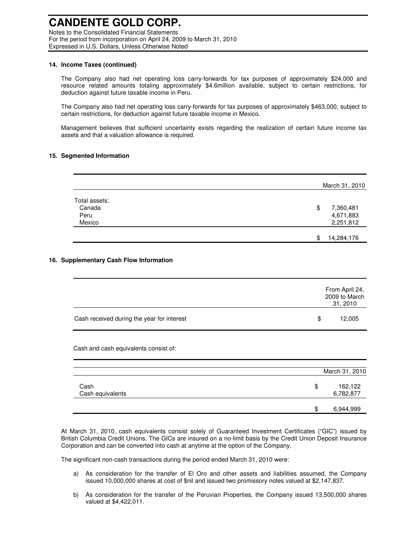Notes to the Consolidated Financial Statements For the period from incorporation on April 24, 2009 to March 31, 2010 Expressed in U.S. Dollars, Unless Otherwise Noted

#### **14. Income Taxes (continued)**

The Company also had net operating loss carry-forwards for tax purposes of approximately \$24,000 and resource related amounts totaling approximately \$4.6million available, subject to certain restrictions, for deduction against future taxable income in Peru.

The Company also had net operating loss carry-forwards for tax purposes of approximately \$463,000, subject to certain restrictions, for deduction against future taxable income in Mexico.

Management believes that sufficient uncertainty exists regarding the realization of certain future income tax assets and that a valuation allowance is required.

#### **15. Segmented Information**

|               | March 31, 2010   |  |
|---------------|------------------|--|
| Total assets: |                  |  |
| Canada        | \$<br>7,360,481  |  |
| Peru          | 4,671,883        |  |
| Mexico        | 2,251,812        |  |
|               | 14,284,176<br>\$ |  |

### **16. Supplementary Cash Flow Information**

|                                            | From April 24,<br>2009 to March<br>31, 2010 |
|--------------------------------------------|---------------------------------------------|
| Cash received during the year for interest | \$<br>12,005                                |

Cash and cash equivalents consist of:

|                          |    | March 31, 2010       |  |
|--------------------------|----|----------------------|--|
| Cash<br>Cash equivalents | \$ | 162,122<br>6,782,877 |  |
|                          | S  | 6,944,999            |  |

At March 31, 2010, cash equivalents consist solely of Guaranteed Investment Certificates ("GIC") issued by British Columbia Credit Unions. The GICs are insured on a no-limit basis by the Credit Union Deposit Insurance Corporation and can be converted into cash at anytime at the option of the Company.

The significant non-cash transactions during the period ended March 31, 2010 were:

- a) As consideration for the transfer of El Oro and other assets and liabilities assumed, the Company issued 10,000,000 shares at cost of \$nil and issued two promissory notes valued at \$2,147,837.
- b) As consideration for the transfer of the Peruvian Properties, the Company issued 13,500,000 shares valued at \$4,422,011.